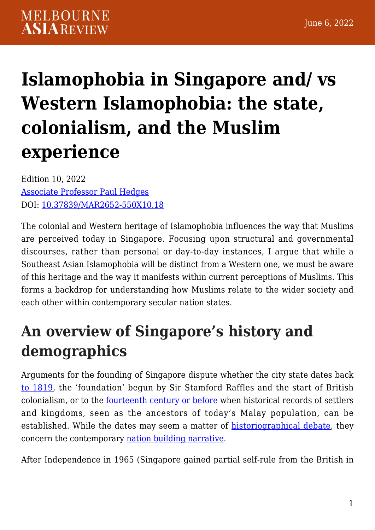# **[Islamophobia in Singapore and/ vs](https://melbourneasiareview.edu.au/islamophobia-in-singapore-and-vs-western-islamophobia-the-state-colonialism-and-the-muslim-experience/) [Western Islamophobia: the state,](https://melbourneasiareview.edu.au/islamophobia-in-singapore-and-vs-western-islamophobia-the-state-colonialism-and-the-muslim-experience/) [colonialism, and the Muslim](https://melbourneasiareview.edu.au/islamophobia-in-singapore-and-vs-western-islamophobia-the-state-colonialism-and-the-muslim-experience/) [experience](https://melbourneasiareview.edu.au/islamophobia-in-singapore-and-vs-western-islamophobia-the-state-colonialism-and-the-muslim-experience/)**

Edition 10, 2022 [Associate Professor Paul Hedges](https://www.rsis.edu.sg/profile/paul-hedges/) DOI: 10.37839/MAR2652-550X10.18

The colonial and Western heritage of Islamophobia influences the way that Muslims are perceived today in Singapore. Focusing upon structural and governmental discourses, rather than personal or day-to-day instances, I argue that while a Southeast Asian Islamophobia will be distinct from a Western one, we must be aware of this heritage and the way it manifests within current perceptions of Muslims. This forms a backdrop for understanding how Muslims relate to the wider society and each other within contemporary secular nation states.

## **An overview of Singapore's history and demographics**

Arguments for the founding of Singapore dispute whether the city state dates back [to 1819](https://nuspress.nus.edu.sg/products/a-history-of-modern-singapore-1819-2005), the 'foundation' begun by Sir Stamford Raffles and the start of British colonialism, or to the <u>fourteenth century or before</u> when historical records of settlers and kingdoms, seen as the ancestors of today's Malay population, can be established. While the dates may seem a matter of [historiographical debate](https://www.bloomsbury.com/us/singapore-9781350185661/), they concern the contemporary [nation building narrative](https://journals.sagepub.com/doi/abs/10.1177/0192512116677305).

After Independence in 1965 (Singapore gained partial self-rule from the British in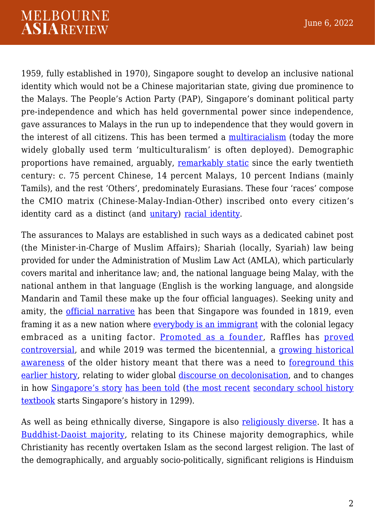#### **MELBOURNE ASIAREVIEW**

1959, fully established in 1970), Singapore sought to develop an inclusive national identity which would not be a Chinese majoritarian state, giving due prominence to the Malays. The People's Action Party (PAP), Singapore's dominant political party pre-independence and which has held governmental power since independence, gave assurances to Malays in the run up to independence that they would govern in the interest of all citizens. This has been termed a [multiracialism](https://www.academia.edu/50366196/Dicky_Sofjan_2016_Religion_Public_Policy_and_Social_Transformation_in_Southeast_Asia_Vol_1) (today the more widely globally used term 'multiculturalism' is often deployed). Demographic proportions have remained, arguably, [remarkably static](https://en.wikipedia.org/wiki/Demographics_of_Singapore) since the early twentieth century: c. 75 percent Chinese, 14 percent Malays, 10 percent Indians (mainly Tamils), and the rest 'Others', predominately Eurasians. These four 'races' compose the CMIO matrix (Chinese-Malay-Indian-Other) inscribed onto every citizen's identity card as a distinct (and [unitary](https://www.asiaone.com/News/AsiaOne%2BNews/Singapore/Story/A1Story20100113-191440.html)) [racial identity.](https://www.stbooks.sg/products/singapore-chronicles-multiracialism)

The assurances to Malays are established in such ways as a dedicated cabinet post (the Minister-in-Charge of Muslim Affairs); Shariah (locally, Syariah) law being provided for under the Administration of Muslim Law Act (AMLA), which particularly covers marital and inheritance law; and, the national language being Malay, with the national anthem in that language (English is the working language, and alongside Mandarin and Tamil these make up the four official languages). Seeking unity and amity, the [official narrative](https://www.tandfonline.com/doi/full/10.1080/10357823.2021.1972934) has been that Singapore was founded in 1819, even framing it as a new nation where [everybody is an immigrant](https://www.cambridge.org/core/journals/journal-of-southeast-asian-studies/article/abs/settler-colonialism-and-usurping-malay-sovereignty-in-singapore/A75B4890EBE05FFB541057E0E6D64E13) with the colonial legacy embraced as a uniting factor. [Promoted as a founder,](https://www.cambridge.org/core/journals/journal-of-southeast-asian-studies/article/abs/commemorating-raffles-the-creation-of-an-imperial-icon-in-colonial-singapore/130C0F8C4DAE64ABBC2CBEABF9A726AB) Raffles has [proved](https://www.cambridge.org/core/journals/journal-of-southeast-asian-studies/article/editorial-foreword-the-singapore-bicentennial-as-public-history/F157B3F2137004F0F8520A8D1F0CCAB2) [controversial,](https://www.cambridge.org/core/journals/journal-of-southeast-asian-studies/article/editorial-foreword-the-singapore-bicentennial-as-public-history/F157B3F2137004F0F8520A8D1F0CCAB2) and while 2019 was termed the bicentennial, a [growing historical](https://nuspress.nus.edu.sg/products/studying-singapore-before-1800) [awareness](https://nuspress.nus.edu.sg/products/studying-singapore-before-1800) of the older history meant that there was a need to [foreground this](https://asiatimes.com/2019/04/raffles-bicentennial-anniversary-ruffles-singapore/) [earlier history](https://asiatimes.com/2019/04/raffles-bicentennial-anniversary-ruffles-singapore/), relating to wider global [discourse on decolonisation,](https://www.rsis.edu.sg/rsis-publication/rsis/the-global-blm-movement-public-memorials-and-neo-decolonisation/#.YhxfAe4zY1I) and to changes in how [Singapore's story](https://journals.sagepub.com/doi/abs/10.1177/0192512116677305) [has been told](https://www.tandfonline.com/doi/full/10.1080/10357823.2021.1972934) ([the most recent](https://www.worldcat.org/title/singpore-a-jorney-through-time-1299-1970s-secondary-1-coursebook/oclc/1224006866&referer=brief_results) [secondary school history](https://doi.org/10.1080/10357823.2021.1972934) [textbook](https://doi.org/10.1080/10357823.2021.1972934) starts Singapore's history in 1299).

As well as being ethnically diverse, Singapore is also [religiously diverse](https://www.pewforum.org/2014/04/04/global-religious-diversity/). It has a [Buddhist-Daoist majority](https://www.worldcat.org/title/religion/oclc/1000472489), relating to its Chinese majority demographics, while Christianity has recently overtaken Islam as the second largest religion. The last of the demographically, and arguably socio-politically, significant religions is Hinduism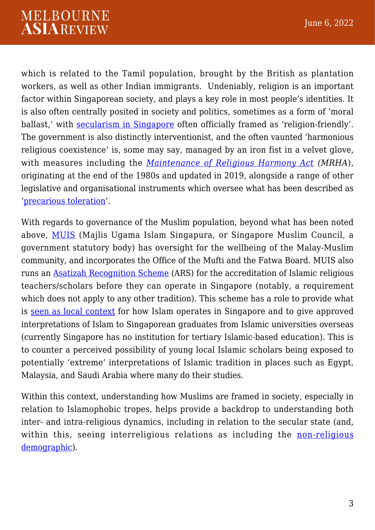which is related to the Tamil population, brought by the British as plantation workers, as well as other Indian immigrants. Undeniably, religion is an important factor within Singaporean society, and plays a key role in most people's identities. It is also often centrally posited in society and politics, sometimes as a form of 'moral ballast,' with [secularism in Singapore](https://www.rsis.edu.sg/rsis-publication/srp/wp305-engaging-religion-with-pragmatism-the-singapore-states-management-of-social-issues-and-religious-tensions-in-the-1980s/#.Yoj66hMzY1I) often officially framed as 'religion-friendly'. The government is also distinctly interventionist, and the often vaunted 'harmonious religious coexistence' is, some may say, managed by an iron fist in a velvet glove, with measures including the *[Maintenance of Religious Harmony Act](https://www.mha.gov.sg/what-we-do/managing-security-threats/maintaining-racial-and-religious-harmony) (MRHA*), originating at the end of the 1980s and updated in 2019, alongside a range of other legislative and organisational instruments which oversee what has been described as '[precarious toleration'](https://www.taylorfrancis.com/chapters/edit/10.4324/9780429467769-8/singapore-interfaith-movement-paul-hedges-mohamed-imran-mohamed-taib).

With regards to governance of the Muslim population, beyond what has been noted above, [MUIS](https://www.worldscientific.com/worldscibooks/10.1142/11099) (Majlis Ugama Islam Singapura, or Singapore Muslim Council, a government statutory body) has oversight for the wellbeing of the Malay-Muslim community, and incorporates the Office of the Mufti and the Fatwa Board. MUIS also runs an [Asatizah Recognition Scheme](https://www.muis.gov.sg/ARS-and-IECP) (ARS) for the accreditation of Islamic religious teachers/scholars before they can operate in Singapore (notably, a requirement which does not apply to any other tradition). This scheme has a role to provide what is [seen as local context](https://www.rsis.edu.sg/wp-content/uploads/2014/07/CO05066.pdf) for how Islam operates in Singapore and to give approved interpretations of Islam to Singaporean graduates from Islamic universities overseas (currently Singapore has no institution for tertiary Islamic-based education). This is to counter a perceived possibility of young local Islamic scholars being exposed to potentially 'extreme' interpretations of Islamic tradition in places such as Egypt, Malaysia, and Saudi Arabia where many do their studies.

Within this context, understanding how Muslims are framed in society, especially in relation to Islamophobic tropes, helps provide a backdrop to understanding both inter- and intra-religious dynamics, including in relation to the secular state (and, within this, seeing interreligious relations as including the [non-religious](https://www.academia.edu/33959046/Should_Interfaith_and_Interreligious_Dialogue_include_Atheists_Towards_an_Interworldview_Perspective) [demographic\)](https://www.academia.edu/33959046/Should_Interfaith_and_Interreligious_Dialogue_include_Atheists_Towards_an_Interworldview_Perspective).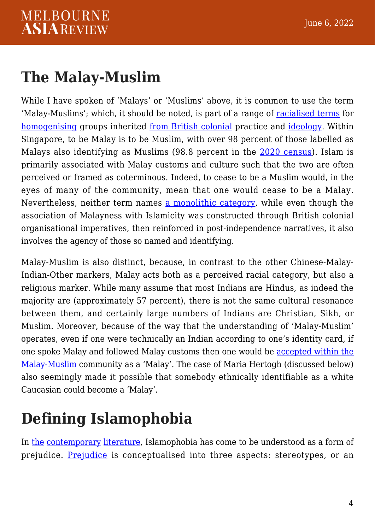#### **The Malay-Muslim**

While I have spoken of 'Malays' or 'Muslims' above, it is common to use the term 'Malay-Muslims'; which, it should be noted, is part of a range of [racialised terms](https://www.ucpress.edu/book/9780520298910/understanding-religion) for [homogenising](https://www.jstor.org/stable/24491111) groups inherited [from British colonial](https://www.jstor.org/stable/684449?seq=1) practice and [ideology](https://wardahbooks.com/products/mythofthelazynative). Within Singapore, to be Malay is to be Muslim, with over 98 percent of those labelled as Malays also identifying as Muslims (98.8 percent in the [2020 census](https://www.singstat.gov.sg/publications/reference/cop2020/cop2020-sr1/census20_stat_release1)). Islam is primarily associated with Malay customs and culture such that the two are often perceived or framed as coterminous. Indeed, to cease to be a Muslim would, in the eyes of many of the community, mean that one would cease to be a Malay. Nevertheless, neither term names [a monolithic category](https://worldscientific.com/doi/10.1142/9789814759885_0057), while even though the association of Malayness with Islamicity was constructed through British colonial organisational imperatives, then reinforced in post-independence narratives, it also involves the agency of those so named and identifying.

Malay-Muslim is also distinct, because, in contrast to the other Chinese-Malay-Indian-Other markers, Malay acts both as a perceived racial category, but also a religious marker. While many assume that most Indians are Hindus, as indeed the majority are (approximately 57 percent), there is not the same cultural resonance between them, and certainly large numbers of Indians are Christian, Sikh, or Muslim. Moreover, because of the way that the understanding of 'Malay-Muslim' operates, even if one were technically an Indian according to one's identity card, if one spoke Malay and followed Malay customs then one would be [accepted within the](https://www.todayonline.com/singapore/reserved-presidential-election-casts-spotlight-malayness) [Malay-Muslim](https://www.todayonline.com/singapore/reserved-presidential-election-casts-spotlight-malayness) community as a 'Malay'. The case of Maria Hertogh (discussed below) also seemingly made it possible that somebody ethnically identifiable as a white Caucasian could become a 'Malay'.

### **Defining Islamophobia**

In [the](https://eprints.whiterose.ac.uk/83697/1/Sayyid%20A%20Measure%20of%20Islamophobia-%20journal%20version.pdf) [contemporary](https://www.bloomsbury.com/us/religious-hatred-9781350162860/) [literature,](https://books.google.com.sg/books/about/The_Fear_of_Islam_Second_Edition.html?id=AclCwgEACAAJ&redir_esc=y) Islamophobia has come to be understood as a form of prejudice. [Prejudice](https://www.bloomsbury.com/us/religious-hatred-9781350162860/) is conceptualised into three aspects: stereotypes, or an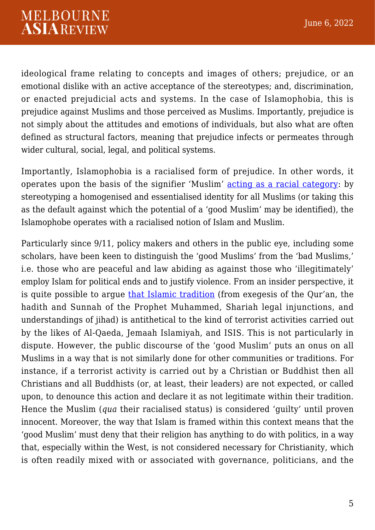ideological frame relating to concepts and images of others; prejudice, or an emotional dislike with an active acceptance of the stereotypes; and, discrimination, or enacted prejudicial acts and systems. In the case of Islamophobia, this is prejudice against Muslims and those perceived as Muslims. Importantly, prejudice is not simply about the attitudes and emotions of individuals, but also what are often defined as structural factors, meaning that prejudice infects or permeates through wider cultural, social, legal, and political systems.

Importantly, Islamophobia is a racialised form of prejudice. In other words, it operates upon the basis of the signifier 'Muslim' [acting as a racial category](https://www.bloomsbury.com/uk/religious-hatred-9781350162877/): by stereotyping a homogenised and essentialised identity for all Muslims (or taking this as the default against which the potential of a 'good Muslim' may be identified), the Islamophobe operates with a racialised notion of Islam and Muslim.

Particularly since 9/11, policy makers and others in the public eye, including some scholars, have been keen to distinguish the 'good Muslims' from the 'bad Muslims,' i.e. those who are peaceful and law abiding as against those who 'illegitimately' employ Islam for political ends and to justify violence. From an insider perspective, it is quite possible to argue [that Islamic tradition](https://www.rsis.edu.sg/wp-content/uploads/2016/01/CO16016.pdf) (from exegesis of the Qur'an, the hadith and Sunnah of the Prophet Muhammed, Shariah legal injunctions, and understandings of jihad) is antithetical to the kind of terrorist activities carried out by the likes of Al-Qaeda, Jemaah Islamiyah, and ISIS. This is not particularly in dispute. However, the public discourse of the 'good Muslim' puts an onus on all Muslims in a way that is not similarly done for other communities or traditions. For instance, if a terrorist activity is carried out by a Christian or Buddhist then all Christians and all Buddhists (or, at least, their leaders) are not expected, or called upon, to denounce this action and declare it as not legitimate within their tradition. Hence the Muslim (*qua* their racialised status) is considered 'guilty' until proven innocent. Moreover, the way that Islam is framed within this context means that the 'good Muslim' must deny that their religion has anything to do with politics, in a way that, especially within the West, is not considered necessary for Christianity, which is often readily mixed with or associated with governance, politicians, and the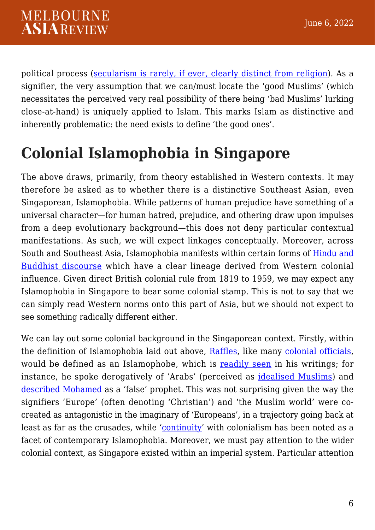political process ([secularism is rarely, if ever, clearly distinct from religion](https://www.mdpi.com/2077-1444/10/9/498/htm)). As a signifier, the very assumption that we can/must locate the 'good Muslims' (which necessitates the perceived very real possibility of there being 'bad Muslims' lurking close-at-hand) is uniquely applied to Islam. This marks Islam as distinctive and inherently problematic: the need exists to define 'the good ones'.

### **Colonial Islamophobia in Singapore**

The above draws, primarily, from theory established in Western contexts. It may therefore be asked as to whether there is a distinctive Southeast Asian, even Singaporean, Islamophobia. While patterns of human prejudice have something of a universal character—for human hatred, prejudice, and othering draw upon impulses from a deep evolutionary background—this does not deny particular contextual manifestations. As such, we will expect linkages conceptually. Moreover, across South and Southeast Asia, Islamophobia manifests within certain forms of [Hindu and](https://www.bloomsbury.com/uk/religious-hatred-9781350162877/) [Buddhist discourse](https://www.bloomsbury.com/uk/religious-hatred-9781350162877/) which have a clear lineage derived from Western colonial influence. Given direct British colonial rule from 1819 to 1959, we may expect any Islamophobia in Singapore to bear some colonial stamp. This is not to say that we can simply read Western norms onto this part of Asia, but we should not expect to see something radically different either.

We can lay out some colonial background in the Singaporean context. Firstly, within the definition of Islamophobia laid out above, [Raffles,](https://profile.nus.edu.sg/fass/mlsasmk/sari21-02.pdf) like many [colonial officials,](https://link.springer.com/chapter/10.1007/978-3-030-75842-4_5) would be defined as an Islamophobe, which is [readily seen](https://www.bukukupress.com/en-sg/products/raffles-and-religion-a-study-on-sir-thomas-stamford-raffles-discourse-on-religion-amongst-the-malays) in his writings; for instance, he spoke derogatively of 'Arabs' (perceived as [idealised Muslims\)](https://academic.oup.com/jaar/article/88/4/915/5984472?) and [described Mohamed](https://www.gutenberg.org/files/49843/49843-h/49843-h.htm) as a 'false' prophet. This was not surprising given the way the signifiers 'Europe' (often denoting 'Christian') and 'the Muslim world' were cocreated as antagonistic in the imaginary of 'Europeans', in a trajectory going back at least as far as the crusades, while '[continuity](https://doi.org/10.1080/0031322X.2014.966960)' with colonialism has been noted as a facet of contemporary Islamophobia. Moreover, we must pay attention to the wider colonial context, as Singapore existed within an imperial system. Particular attention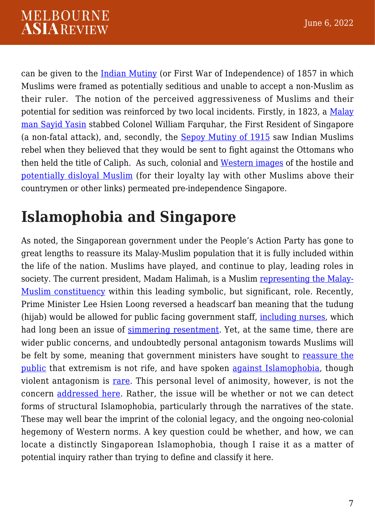can be given to the [Indian Mutiny](https://www.bloomsbury.com/uk/indian-muslim-minorities-and-the-1857-rebellion-9780755603794/) (or First War of Independence) of 1857 in which Muslims were framed as potentially seditious and unable to accept a non-Muslim as their ruler. The notion of the perceived aggressiveness of Muslims and their potential for sedition was reinforced by two local incidents. Firstly, in 1823, a [Malay](https://www.cambridge.org/core/journals/journal-of-southeast-asian-studies/article/abs/settler-colonialism-and-usurping-malay-sovereignty-in-singapore/A75B4890EBE05FFB541057E0E6D64E13) [man Sayid Yasin](https://www.cambridge.org/core/journals/journal-of-southeast-asian-studies/article/abs/settler-colonialism-and-usurping-malay-sovereignty-in-singapore/A75B4890EBE05FFB541057E0E6D64E13) stabbed Colonel William Farquhar, the First Resident of Singapore (a non-fatal attack), and, secondly, the [Sepoy Mutiny of 1915](https://www.rsis.edu.sg/wp-content/uploads/rsis-pubs/WP206.pdf) saw Indian Muslims rebel when they believed that they would be sent to fight against the Ottomans who then held the title of Caliph. As such, colonial and [Western images](https://www.tandfonline.com/doi/abs/10.1080/0031322X.2014.966960) of the hostile and [potentially disloyal Muslim](https://www.rsis.edu.sg/wp-content/uploads/rsis-pubs/WP206.pdf) (for their loyalty lay with other Muslims above their countrymen or other links) permeated pre-independence Singapore.

### **Islamophobia and Singapore**

As noted, the Singaporean government under the People's Action Party has gone to great lengths to reassure its Malay-Muslim population that it is fully included within the life of the nation. Muslims have played, and continue to play, leading roles in society. The current president, Madam Halimah, is a Muslim [representing the Malay-](https://www.todayonline.com/singapore/malayness-presidential-aspirants-issue-community-committee-decide-mdm-halimah)[Muslim constituency](https://www.todayonline.com/singapore/malayness-presidential-aspirants-issue-community-committee-decide-mdm-halimah) within this leading symbolic, but significant, role. Recently, Prime Minister Lee Hsien Loong reversed a headscarf ban meaning that the tudung (hijab) would be allowed for public facing government staff, [including nurses](https://www.channelnewsasia.com/singapore/muslim-nurses-tudung-uniform-guildines-muis-fatwa-2268872), which had long been an issue of [simmering resentment.](http://muzlimbuzz.sg/hijab-in-the-workplace-why-the-controversy/) Yet, at the same time, there are wider public concerns, and undoubtedly personal antagonism towards Muslims will be felt by some, meaning that government ministers have sought to [reassure the](https://www.straitstimes.com/singapore/muslim-community-has-made-much-effort-to-counter-radicalism) [public](https://www.straitstimes.com/singapore/muslim-community-has-made-much-effort-to-counter-radicalism) that extremism is not rife, and have spoken [against Islamophobia,](https://www.mha.gov.sg/mediaroom/speeches/the-2nd-srp-distinguished-lecture-and-symposium-2016---opening-address-by-mr-k-shanmugam-minister-for-home-affairs-and-minister-for-law/) though violent antagonism is [rare](https://www.rsis.edu.sg/rsis-publication/rsis/rise-of-violent-christian-extremism-whither-inter-religious-ties/#.YigKR-4zY1I). This personal level of animosity, however, is not the concern [addressed here](https://lkyspp.nus.edu.sg/docs/default-source/ips/ips-working-paper-no-35_ips-onepeoplesg-indicators-of-racial-and-religious-harmony_comparing-results-from-2018-and-2013.pdf). Rather, the issue will be whether or not we can detect forms of structural Islamophobia, particularly through the narratives of the state. These may well bear the imprint of the colonial legacy, and the ongoing neo-colonial hegemony of Western norms. A key question could be whether, and how, we can locate a distinctly Singaporean Islamophobia, though I raise it as a matter of potential inquiry rather than trying to define and classify it here.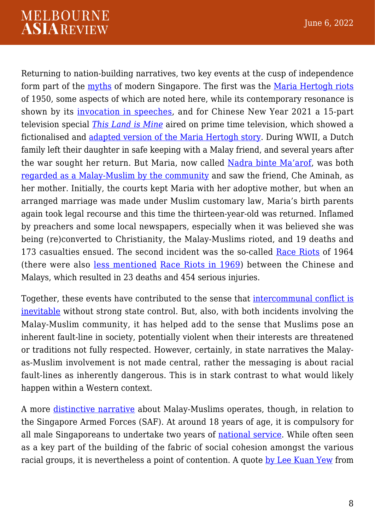Returning to nation-building narratives, two key events at the cusp of independence form part of the [myths](https://logosdao.wordpress.com/2022/03/02/myths-legends-history-and-fables-some-working-definitions/) of modern Singapore. The first was the [Maria Hertogh riots](https://eresources.nlb.gov.sg/infopedia/articles/SIP_83_2005-02-02.html) of 1950, some aspects of which are noted here, while its contemporary resonance is shown by its [invocation in speeches](https://theindependent.sg/racial-and-religious-prejudice-in-any-form-must-be-prevented-says-shanmugam/), and for Chinese New Year 2021 a 15-part television special *[This Land is Mine](https://www.mewatch.sg/show/This-Land-Is-Mine-233808)* aired on prime time television, which showed a fictionalised and [adapted version of the Maria Hertogh story](https://www.tp.edu.sg/schools-and-courses/students/schools/bus/about-bus/storiesco/life/this-land-is-mine-a-look-Into-historical-sIngapore.html). During WWII, a Dutch family left their daughter in safe keeping with a Malay friend, and several years after the war sought her return. But Maria, now called [Nadra binte Ma'arof](https://eresources.nlb.gov.sg/infopedia/articles/SIP_508_2004-12-23.html), was both [regarded as a Malay-Muslim by the community](https://www.ucpress.edu/book/9780520298910/understanding-religion) and saw the friend, Che Aminah, as her mother. Initially, the courts kept Maria with her adoptive mother, but when an arranged marriage was made under Muslim customary law, Maria's birth parents again took legal recourse and this time the thirteen-year-old was returned. Inflamed by preachers and some local newspapers, especially when it was believed she was being (re)converted to Christianity, the Malay-Muslims rioted, and 19 deaths and 173 casualties ensued. The second incident was the so-called [Race Riots](https://eresources.nlb.gov.sg/infopedia/articles/SIP_45_2005-01-06.html) of 1964 (there were also [less mentioned](https://eservice.nlb.gov.sg/item_holding.aspx?bid=4080964) [Race Riots in 1969\)](https://www.primidi.com/1969_race_riots_of_singapore) between the Chinese and Malays, which resulted in 23 deaths and 454 serious injuries.

Together, these events have contributed to the sense that [intercommunal conflict is](https://www.academia.edu/36307836/Governance_through_Difference_in_singapore) [inevitable](https://www.academia.edu/36307836/Governance_through_Difference_in_singapore) without strong state control. But, also, with both incidents involving the Malay-Muslim community, it has helped add to the sense that Muslims pose an inherent fault-line in society, potentially violent when their interests are threatened or traditions not fully respected. However, certainly, in state narratives the Malayas-Muslim involvement is not made central, rather the messaging is about racial fault-lines as inherently dangerous. This is in stark contrast to what would likely happen within a Western context.

A more [distinctive narrative](https://www.worldscientific.com/doi/10.1142/9789813149229_0009) about Malay-Muslims operates, though, in relation to the Singapore Armed Forces (SAF). At around 18 years of age, it is compulsory for all male Singaporeans to undertake two years of [national service](https://www.mfa.gov.sg/Overseas-Mission/Chennai/Consular-Services/National-Service-Obligation). While often seen as a key part of the building of the fabric of social cohesion amongst the various racial groups, it is nevertheless a point of contention. A quote [by Lee Kuan Yew](https://www.reuters.com/article/us-singapore-election-idUSKCN1BM0Y9) from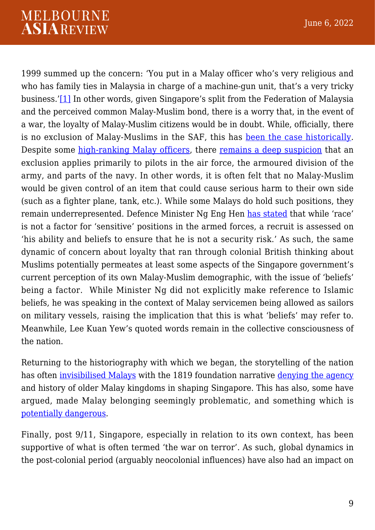#### **MELBOURNE ASIAREVIEW**

<span id="page-8-0"></span>1999 summed up the concern: 'You put in a Malay officer who's very religious and who has family ties in Malaysia in charge of a machine-gun unit, that's a very tricky business.'[\[1\]](#page-10-0) In other words, given Singapore's split from the Federation of Malaysia and the perceived common Malay-Muslim bond, there is a worry that, in the event of a war, the loyalty of Malay-Muslim citizens would be in doubt. While, officially, there is no exclusion of Malay-Muslims in the SAF, this has [been the case historically.](https://www.straitstimes.com/singapore/malays-deployed-in-the-saf-as-sailors-ng-eng-hen) Despite some [high-ranking Malay officers](https://www.asiaone.com/singapore/malays-make-strides-saf), there [remains a deep suspicion](https://www.asiasentinel.com/p/singapores-malay-dilemma?utm_source=url) that an exclusion applies primarily to pilots in the air force, the armoured division of the army, and parts of the navy. In other words, it is often felt that no Malay-Muslim would be given control of an item that could cause serious harm to their own side (such as a fighter plane, tank, etc.). While some Malays do hold such positions, they remain underrepresented. Defence Minister Ng Eng Hen [has stated](https://www.straitstimes.com/singapore/malays-deployed-in-the-saf-as-sailors-ng-eng-hen) that while 'race' is not a factor for 'sensitive' positions in the armed forces, a recruit is assessed on 'his ability and beliefs to ensure that he is not a security risk.' As such, the same dynamic of concern about loyalty that ran through colonial British thinking about Muslims potentially permeates at least some aspects of the Singapore government's current perception of its own Malay-Muslim demographic, with the issue of 'beliefs' being a factor. While Minister Ng did not explicitly make reference to Islamic beliefs, he was speaking in the context of Malay servicemen being allowed as sailors on military vessels, raising the implication that this is what 'beliefs' may refer to. Meanwhile, Lee Kuan Yew's quoted words remain in the collective consciousness of the nation.

Returning to the historiography with which we began, the storytelling of the nation has often [invisibilised Malays](https://www.tandfonline.com/doi/full/10.1080/10357823.2021.1972934) with the 1819 foundation narrative [denying the agency](https://www.cambridge.org/core/journals/journal-of-southeast-asian-studies/article/abs/settler-colonialism-and-usurping-malay-sovereignty-in-singapore/A75B4890EBE05FFB541057E0E6D64E13) and history of older Malay kingdoms in shaping Singapore. This has also, some have argued, made Malay belonging seemingly problematic, and something which is [potentially dangerous](https://journals.sagepub.com/doi/abs/10.1177/0192512116677305).

Finally, post 9/11, Singapore, especially in relation to its own context, has been supportive of what is often termed 'the war on terror'. As such, global dynamics in the post-colonial period (arguably neocolonial influences) have also had an impact on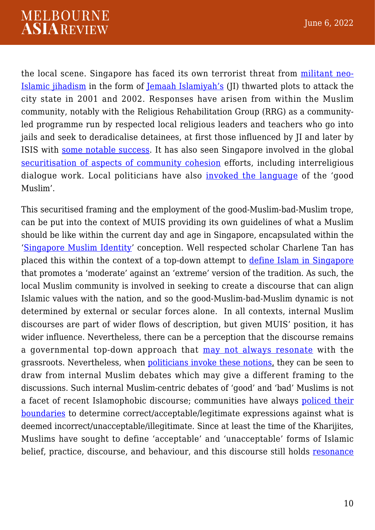the local scene. Singapore has faced its own terrorist threat from [militant neo-](https://www.jstor.org/stable/26351560?seq=1#metadata_info_tab_contents)[Islamic jihadism](https://www.jstor.org/stable/26351560?seq=1#metadata_info_tab_contents) in the form of [Jemaah Islamiyah's](https://www.rsis.edu.sg/wp-content/uploads/2017/04/CO17075.pdf) (JI) thwarted plots to attack the city state in 2001 and 2002. Responses have arisen from within the Muslim community, notably with the Religious Rehabilitation Group (RRG) as a communityled programme run by respected local religious leaders and teachers who go into jails and seek to deradicalise detainees, at first those influenced by JI and later by ISIS with [some notable success.](https://staging.rsis.edu.sg/v3/rsis-publication/rsis/1120-de-radicalisation-programmes/#.YhxUuO4zY1I) It has also seen Singapore involved in the global [securitisation of aspects of community cohesion](https://www.taylorfrancis.com/chapters/edit/10.4324/9780429467769-8/singapore-interfaith-movement-paul-hedges-mohamed-imran-mohamed-taib) efforts, including interreligious dialogue work. Local politicians have also [invoked the language](https://www.taylorfrancis.com/chapters/edit/10.4324/9781315658599-16/role-modern-islam-singapore-rizwana-abdul-azeez) of the 'good Muslim'.

This securitised framing and the employment of the good-Muslim-bad-Muslim trope, can be put into the context of MUIS providing its own guidelines of what a Muslim should be like within the current day and age in Singapore, encapsulated within the '[Singapore Muslim Identity](https://www.muis.gov.sg/-/media/Files/OOM/Resources/Risalah-eng-lr.pdf)' conception. Well respected scholar Charlene Tan has placed this within the context of a top-down attempt to [define Islam in Singapore](https://repository.nie.edu.sg/bitstream/10497/18101/1/SEN-8-1-31.pdf) that promotes a 'moderate' against an 'extreme' version of the tradition. As such, the local Muslim community is involved in seeking to create a discourse that can align Islamic values with the nation, and so the good-Muslim-bad-Muslim dynamic is not determined by external or secular forces alone. In all contexts, internal Muslim discourses are part of wider flows of description, but given MUIS' position, it has wider influence. Nevertheless, there can be a perception that the discourse remains a governmental top-down approach that [may not always resonate](https://dr.ntu.edu.sg/handle/10356/139655) with the grassroots. Nevertheless, when [politicians invoke these notions,](https://www.pmo.gov.sg/Newsroom/prime-minister-lee-hsien-loongs-written-interview-berita-harian) they can be seen to draw from internal Muslim debates which may give a different framing to the discussions. Such internal Muslim-centric debates of 'good' and 'bad' Muslims is not a facet of recent Islamophobic discourse; communities have always [policed their](https://www.ucpress.edu/book/9780520298910/understanding-religion) [boundaries](https://www.ucpress.edu/book/9780520298910/understanding-religion) to determine correct/acceptable/legitimate expressions against what is deemed incorrect/unacceptable/illegitimate. Since at least the time of the Kharijites, Muslims have sought to define 'acceptable' and 'unacceptable' forms of Islamic belief, practice, discourse, and behaviour, and this discourse still holds [resonance](https://staging.rsis.edu.sg/v3/wp-content/uploads/2016/12/CO16297.pdf)